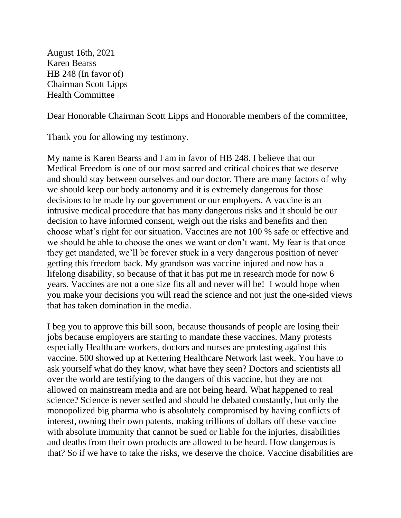August 16th, 2021 Karen Bearss HB 248 (In favor of) Chairman Scott Lipps Health Committee

Dear Honorable Chairman Scott Lipps and Honorable members of the committee,

Thank you for allowing my testimony.

My name is Karen Bearss and I am in favor of HB 248. I believe that our Medical Freedom is one of our most sacred and critical choices that we deserve and should stay between ourselves and our doctor. There are many factors of why we should keep our body autonomy and it is extremely dangerous for those decisions to be made by our government or our employers. A vaccine is an intrusive medical procedure that has many dangerous risks and it should be our decision to have informed consent, weigh out the risks and benefits and then choose what's right for our situation. Vaccines are not 100 % safe or effective and we should be able to choose the ones we want or don't want. My fear is that once they get mandated, we'll be forever stuck in a very dangerous position of never getting this freedom back. My grandson was vaccine injured and now has a lifelong disability, so because of that it has put me in research mode for now 6 years. Vaccines are not a one size fits all and never will be! I would hope when you make your decisions you will read the science and not just the one-sided views that has taken domination in the media.

I beg you to approve this bill soon, because thousands of people are losing their jobs because employers are starting to mandate these vaccines. Many protests especially Healthcare workers, doctors and nurses are protesting against this vaccine. 500 showed up at Kettering Healthcare Network last week. You have to ask yourself what do they know, what have they seen? Doctors and scientists all over the world are testifying to the dangers of this vaccine, but they are not allowed on mainstream media and are not being heard. What happened to real science? Science is never settled and should be debated constantly, but only the monopolized big pharma who is absolutely compromised by having conflicts of interest, owning their own patents, making trillions of dollars off these vaccine with absolute immunity that cannot be sued or liable for the injuries, disabilities and deaths from their own products are allowed to be heard. How dangerous is that? So if we have to take the risks, we deserve the choice. Vaccine disabilities are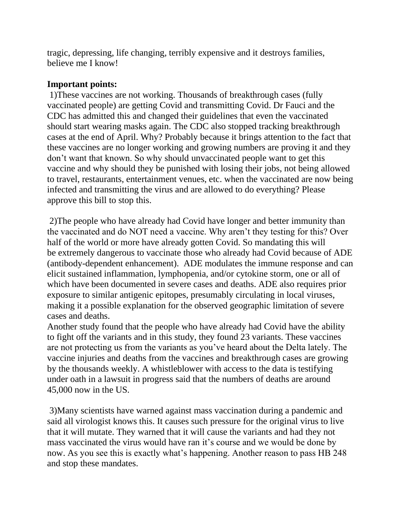tragic, depressing, life changing, terribly expensive and it destroys families, believe me I know!

## **Important points:**

1)These vaccines are not working. Thousands of breakthrough cases (fully vaccinated people) are getting Covid and transmitting Covid. Dr Fauci and the CDC has admitted this and changed their guidelines that even the vaccinated should start wearing masks again. The CDC also stopped tracking breakthrough cases at the end of April. Why? Probably because it brings attention to the fact that these vaccines are no longer working and growing numbers are proving it and they don't want that known. So why should unvaccinated people want to get this vaccine and why should they be punished with losing their jobs, not being allowed to travel, restaurants, entertainment venues, etc. when the vaccinated are now being infected and transmitting the virus and are allowed to do everything? Please approve this bill to stop this.

2)The people who have already had Covid have longer and better immunity than the vaccinated and do NOT need a vaccine. Why aren't they testing for this? Over half of the world or more have already gotten Covid. So mandating this will be extremely dangerous to vaccinate those who already had Covid because of ADE (antibody-dependent enhancement). ADE modulates the immune response and can elicit sustained inflammation, lymphopenia, and/or cytokine storm, one or all of which have been documented in severe cases and deaths. ADE also requires prior exposure to similar antigenic epitopes, presumably circulating in local viruses, making it a possible explanation for the observed geographic limitation of severe cases and deaths.

Another study found that the people who have already had Covid have the ability to fight off the variants and in this study, they found 23 variants. These vaccines are not protecting us from the variants as you've heard about the Delta lately. The vaccine injuries and deaths from the vaccines and breakthrough cases are growing by the thousands weekly. A whistleblower with access to the data is testifying under oath in a lawsuit in progress said that the numbers of deaths are around 45,000 now in the US.

3)Many scientists have warned against mass vaccination during a pandemic and said all virologist knows this. It causes such pressure for the original virus to live that it will mutate. They warned that it will cause the variants and had they not mass vaccinated the virus would have ran it's course and we would be done by now. As you see this is exactly what's happening. Another reason to pass HB 248 and stop these mandates.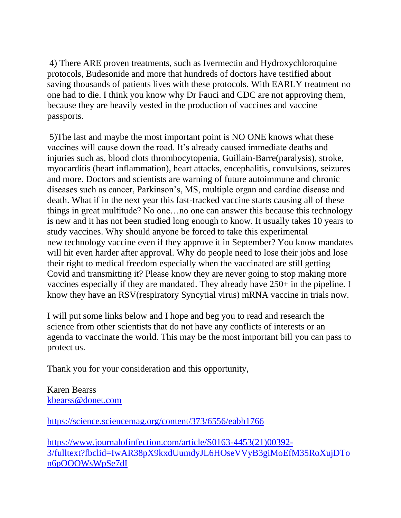4) There ARE proven treatments, such as Ivermectin and Hydroxychloroquine protocols, Budesonide and more that hundreds of doctors have testified about saving thousands of patients lives with these protocols. With EARLY treatment no one had to die. I think you know why Dr Fauci and CDC are not approving them, because they are heavily vested in the production of vaccines and vaccine passports.

5)The last and maybe the most important point is NO ONE knows what these vaccines will cause down the road. It's already caused immediate deaths and injuries such as, blood clots thrombocytopenia, Guillain-Barre(paralysis), stroke, myocarditis (heart inflammation), heart attacks, encephalitis, convulsions, seizures and more. Doctors and scientists are warning of future autoimmune and chronic diseases such as cancer, Parkinson's, MS, multiple organ and cardiac disease and death. What if in the next year this fast-tracked vaccine starts causing all of these things in great multitude? No one…no one can answer this because this technology is new and it has not been studied long enough to know. It usually takes 10 years to study vaccines. Why should anyone be forced to take this experimental new technology vaccine even if they approve it in September? You know mandates will hit even harder after approval. Why do people need to lose their jobs and lose their right to medical freedom especially when the vaccinated are still getting Covid and transmitting it? Please know they are never going to stop making more vaccines especially if they are mandated. They already have 250+ in the pipeline. I know they have an RSV(respiratory Syncytial virus) mRNA vaccine in trials now.

I will put some links below and I hope and beg you to read and research the science from other scientists that do not have any conflicts of interests or an agenda to vaccinate the world. This may be the most important bill you can pass to protect us.

Thank you for your consideration and this opportunity,

Karen Bearss [kbearss@donet.com](mailto:kbearss@donet.com)

<https://science.sciencemag.org/content/373/6556/eabh1766>

[https://www.journalofinfection.com/article/S0163-4453\(21\)00392-](https://www.journalofinfection.com/article/S0163-4453(21)00392-3/fulltext?fbclid=IwAR38pX9kxdUumdyJL6HOseVVyB3giMoEfM35RoXujDTon6pOOOWsWpSe7dI) [3/fulltext?fbclid=IwAR38pX9kxdUumdyJL6HOseVVyB3giMoEfM35RoXujDTo](https://www.journalofinfection.com/article/S0163-4453(21)00392-3/fulltext?fbclid=IwAR38pX9kxdUumdyJL6HOseVVyB3giMoEfM35RoXujDTon6pOOOWsWpSe7dI) [n6pOOOWsWpSe7dI](https://www.journalofinfection.com/article/S0163-4453(21)00392-3/fulltext?fbclid=IwAR38pX9kxdUumdyJL6HOseVVyB3giMoEfM35RoXujDTon6pOOOWsWpSe7dI)